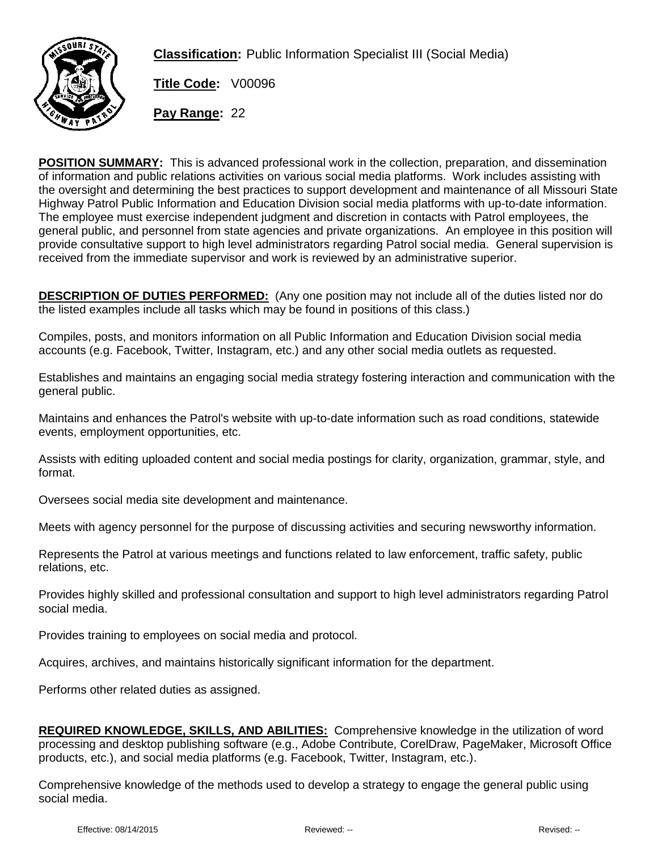

**Classification:** Public Information Specialist III (Social Media)

**Title Code:** V00096

**Pay Range:** 22

**POSITION SUMMARY:** This is advanced professional work in the collection, preparation, and dissemination of information and public relations activities on various social media platforms. Work includes assisting with the oversight and determining the best practices to support development and maintenance of all Missouri State Highway Patrol Public Information and Education Division social media platforms with up-to-date information. The employee must exercise independent judgment and discretion in contacts with Patrol employees, the general public, and personnel from state agencies and private organizations. An employee in this position will provide consultative support to high level administrators regarding Patrol social media. General supervision is received from the immediate supervisor and work is reviewed by an administrative superior.

**DESCRIPTION OF DUTIES PERFORMED:** (Any one position may not include all of the duties listed nor do the listed examples include all tasks which may be found in positions of this class.)

Compiles, posts, and monitors information on all Public Information and Education Division social media accounts (e.g. Facebook, Twitter, Instagram, etc.) and any other social media outlets as requested.

Establishes and maintains an engaging social media strategy fostering interaction and communication with the general public.

Maintains and enhances the Patrol's website with up-to-date information such as road conditions, statewide events, employment opportunities, etc.

Assists with editing uploaded content and social media postings for clarity, organization, grammar, style, and format.

Oversees social media site development and maintenance.

Meets with agency personnel for the purpose of discussing activities and securing newsworthy information.

Represents the Patrol at various meetings and functions related to law enforcement, traffic safety, public relations, etc.

Provides highly skilled and professional consultation and support to high level administrators regarding Patrol social media.

Provides training to employees on social media and protocol.

Acquires, archives, and maintains historically significant information for the department.

Performs other related duties as assigned.

| <b>REQUIRED KNOWLEDGE, SKILLS, AND ABILITIES:</b> Comprehensive knowledge in the utilization of word       |
|------------------------------------------------------------------------------------------------------------|
| processing and desktop publishing software (e.g., Adobe Contribute, CorelDraw, PageMaker, Microsoft Office |
| products, etc.), and social media platforms (e.g. Facebook, Twitter, Instagram, etc.).                     |

Comprehensive knowledge of the methods used to develop a strategy to engage the general public using social media.